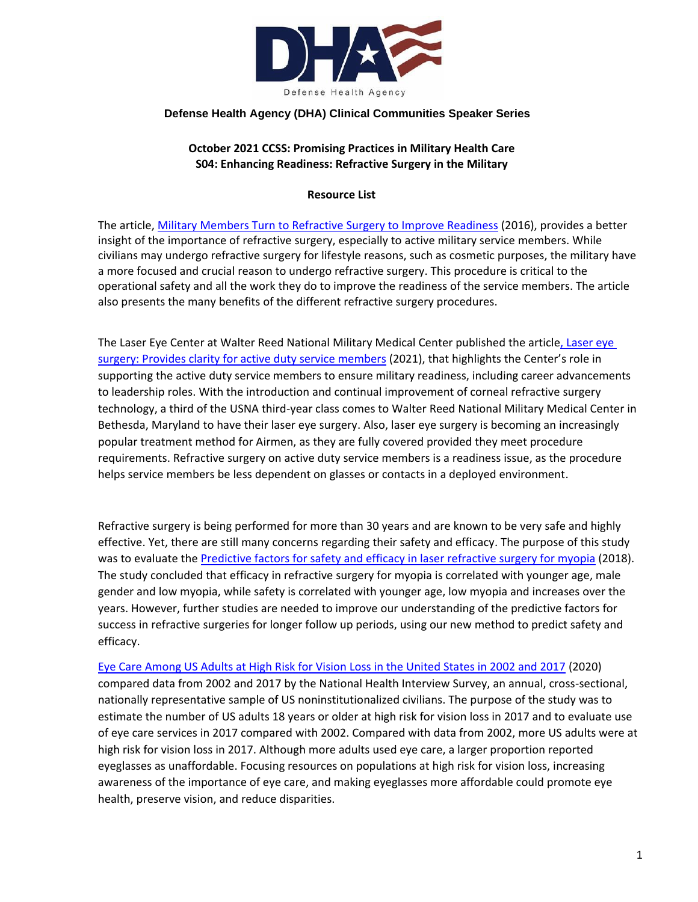

### **Defense Health Agency (DHA) Clinical Communities Speaker Series**

## **October 2021 CCSS: Promising Practices in Military Health Care S04: Enhancing Readiness: Refractive Surgery in the Military**

#### **Resource List**

The article, [Military Members Turn to Refractive Surgery to Improve Readiness](https://www.aao.org/eyenet/article/military-members-turn-to-refractive-surgery-to-imp-2) (2016), provides a better insight of the importance of refractive surgery, especially to active military service members. While civilians may undergo refractive surgery for lifestyle reasons, such as cosmetic purposes, the military have a more focused and crucial reason to undergo refractive surgery. This procedure is critical to the operational safety and all the work they do to improve the readiness of the service members. The article also presents the many benefits of the different refractive surgery procedures.

The Laser Eye Center at Walter Reed National Military Medical Center published the article, Laser eye [surgery: Provides clarity for active duty service members](https://health.mil/News/Articles/2021/03/22/Laser-eye-surgery-Provides-clarity-for-active-duty-service-members) (2021), that highlights the Center's role in supporting the active duty service members to ensure military readiness, including career advancements to leadership roles. With the introduction and continual improvement of corneal refractive surgery technology, a third of the USNA third-year class comes to Walter Reed National Military Medical Center in Bethesda, Maryland to have their laser eye surgery. Also, laser eye surgery is becoming an increasingly popular treatment method for Airmen, as they are fully covered provided they meet procedure requirements. Refractive surgery on active duty service members is a readiness issue, as the procedure helps service members be less dependent on glasses or contacts in a deployed environment.

Refractive surgery is being performed for more than 30 years and are known to be very safe and highly effective. Yet, there are still many concerns regarding their safety and efficacy. The purpose of this study was to evaluate the [Predictive factors for safety and efficacy in laser refractive surgery for myopia](https://www.ncbi.nlm.nih.gov/pmc/articles/PMC6294382/) (2018). The study concluded that efficacy in refractive surgery for myopia is correlated with younger age, male gender and low myopia, while safety is correlated with younger age, low myopia and increases over the years. However, further studies are needed to improve our understanding of the predictive factors for success in refractive surgeries for longer follow up periods, using our new method to predict safety and efficacy.

[Eye Care Among US Adults at High Risk for Vision Loss in the United States in 2002 and 2017](https://jamanetwork.com/journals/jamaophthalmology/fullarticle/2762569) (2020) compared data from 2002 and 2017 by the National Health Interview Survey, an annual, cross-sectional, nationally representative sample of US noninstitutionalized civilians. The purpose of the study was to estimate the number of US adults 18 years or older at high risk for vision loss in 2017 and to evaluate use of eye care services in 2017 compared with 2002. Compared with data from 2002, more US adults were at high risk for vision loss in 2017. Although more adults used eye care, a larger proportion reported eyeglasses as unaffordable. Focusing resources on populations at high risk for vision loss, increasing awareness of the importance of eye care, and making eyeglasses more affordable could promote eye health, preserve vision, and reduce disparities.